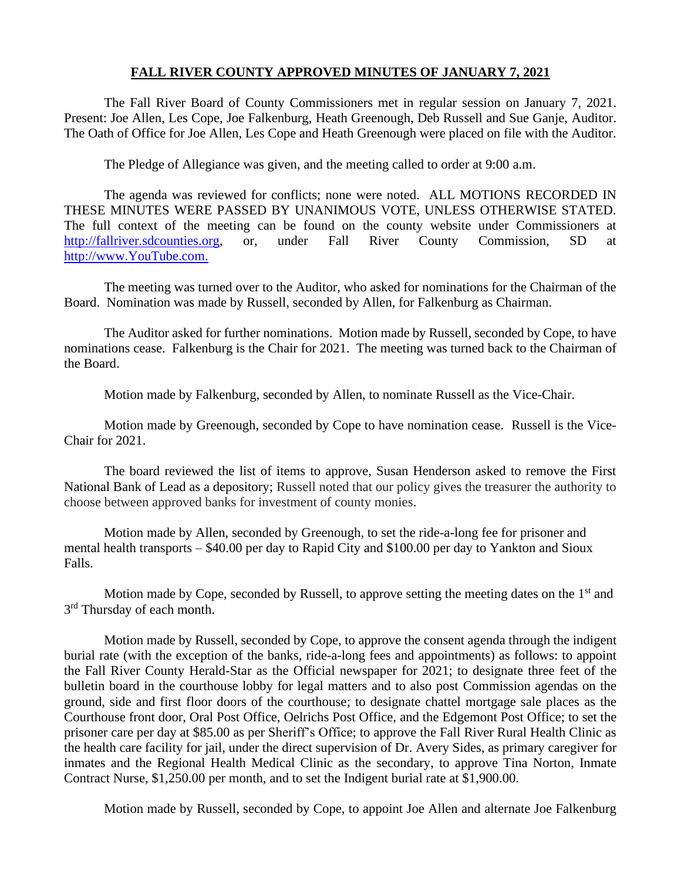### **FALL RIVER COUNTY APPROVED MINUTES OF JANUARY 7, 2021**

The Fall River Board of County Commissioners met in regular session on January 7, 2021. Present: Joe Allen, Les Cope, Joe Falkenburg, Heath Greenough, Deb Russell and Sue Ganje, Auditor. The Oath of Office for Joe Allen, Les Cope and Heath Greenough were placed on file with the Auditor.

The Pledge of Allegiance was given, and the meeting called to order at 9:00 a.m.

The agenda was reviewed for conflicts; none were noted. ALL MOTIONS RECORDED IN THESE MINUTES WERE PASSED BY UNANIMOUS VOTE, UNLESS OTHERWISE STATED. The full context of the meeting can be found on the county website under Commissioners at [http://fallriver.sdcounties.org,](http://fallriver.sdcounties.org/) or, under Fall River County Commission, SD at [http://www.YouTube.com.](http://www.youtube.com/)

The meeting was turned over to the Auditor, who asked for nominations for the Chairman of the Board. Nomination was made by Russell, seconded by Allen, for Falkenburg as Chairman.

The Auditor asked for further nominations. Motion made by Russell, seconded by Cope, to have nominations cease. Falkenburg is the Chair for 2021. The meeting was turned back to the Chairman of the Board.

Motion made by Falkenburg, seconded by Allen, to nominate Russell as the Vice-Chair.

Motion made by Greenough, seconded by Cope to have nomination cease. Russell is the Vice-Chair for 2021.

The board reviewed the list of items to approve, Susan Henderson asked to remove the First National Bank of Lead as a depository; Russell noted that our policy gives the treasurer the authority to choose between approved banks for investment of county monies.

Motion made by Allen, seconded by Greenough, to set the ride-a-long fee for prisoner and mental health transports – \$40.00 per day to Rapid City and \$100.00 per day to Yankton and Sioux Falls.

Motion made by Cope, seconded by Russell, to approve setting the meeting dates on the  $1<sup>st</sup>$  and 3<sup>rd</sup> Thursday of each month.

Motion made by Russell, seconded by Cope, to approve the consent agenda through the indigent burial rate (with the exception of the banks, ride-a-long fees and appointments) as follows: to appoint the Fall River County Herald-Star as the Official newspaper for 2021; to designate three feet of the bulletin board in the courthouse lobby for legal matters and to also post Commission agendas on the ground, side and first floor doors of the courthouse; to designate chattel mortgage sale places as the Courthouse front door, Oral Post Office, Oelrichs Post Office, and the Edgemont Post Office; to set the prisoner care per day at \$85.00 as per Sheriff's Office; to approve the Fall River Rural Health Clinic as the health care facility for jail, under the direct supervision of Dr. Avery Sides, as primary caregiver for inmates and the Regional Health Medical Clinic as the secondary, to approve Tina Norton, Inmate Contract Nurse, \$1,250.00 per month, and to set the Indigent burial rate at \$1,900.00.

Motion made by Russell, seconded by Cope, to appoint Joe Allen and alternate Joe Falkenburg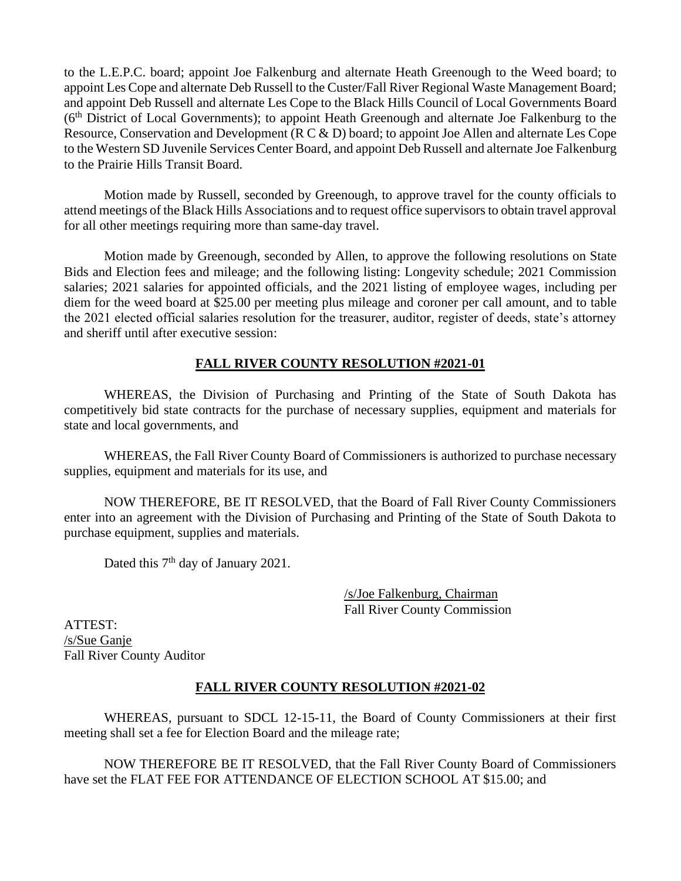to the L.E.P.C. board; appoint Joe Falkenburg and alternate Heath Greenough to the Weed board; to appoint Les Cope and alternate Deb Russell to the Custer/Fall River Regional Waste Management Board; and appoint Deb Russell and alternate Les Cope to the Black Hills Council of Local Governments Board  $(6<sup>th</sup>)$  District of Local Governments); to appoint Heath Greenough and alternate Joe Falkenburg to the Resource, Conservation and Development (R C & D) board; to appoint Joe Allen and alternate Les Cope to the Western SD Juvenile Services Center Board, and appoint Deb Russell and alternate Joe Falkenburg to the Prairie Hills Transit Board.

Motion made by Russell, seconded by Greenough, to approve travel for the county officials to attend meetings of the Black Hills Associations and to request office supervisors to obtain travel approval for all other meetings requiring more than same-day travel.

Motion made by Greenough, seconded by Allen, to approve the following resolutions on State Bids and Election fees and mileage; and the following listing: Longevity schedule; 2021 Commission salaries; 2021 salaries for appointed officials, and the 2021 listing of employee wages, including per diem for the weed board at \$25.00 per meeting plus mileage and coroner per call amount, and to table the 2021 elected official salaries resolution for the treasurer, auditor, register of deeds, state's attorney and sheriff until after executive session:

## **FALL RIVER COUNTY RESOLUTION #2021-01**

WHEREAS, the Division of Purchasing and Printing of the State of South Dakota has competitively bid state contracts for the purchase of necessary supplies, equipment and materials for state and local governments, and

WHEREAS, the Fall River County Board of Commissioners is authorized to purchase necessary supplies, equipment and materials for its use, and

NOW THEREFORE, BE IT RESOLVED, that the Board of Fall River County Commissioners enter into an agreement with the Division of Purchasing and Printing of the State of South Dakota to purchase equipment, supplies and materials.

Dated this 7<sup>th</sup> day of January 2021.

/s/Joe Falkenburg, Chairman Fall River County Commission

ATTEST: /s/Sue Ganje Fall River County Auditor

# **FALL RIVER COUNTY RESOLUTION #2021-02**

WHEREAS, pursuant to SDCL 12-15-11, the Board of County Commissioners at their first meeting shall set a fee for Election Board and the mileage rate;

NOW THEREFORE BE IT RESOLVED, that the Fall River County Board of Commissioners have set the FLAT FEE FOR ATTENDANCE OF ELECTION SCHOOL AT \$15.00; and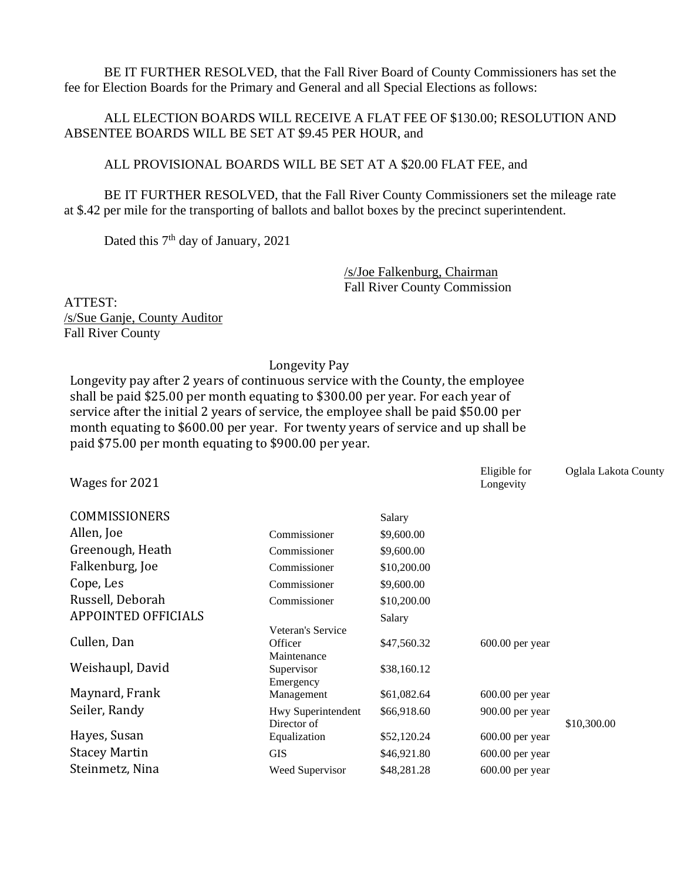BE IT FURTHER RESOLVED, that the Fall River Board of County Commissioners has set the fee for Election Boards for the Primary and General and all Special Elections as follows:

## ALL ELECTION BOARDS WILL RECEIVE A FLAT FEE OF \$130.00; RESOLUTION AND ABSENTEE BOARDS WILL BE SET AT \$9.45 PER HOUR, and

### ALL PROVISIONAL BOARDS WILL BE SET AT A \$20.00 FLAT FEE, and

BE IT FURTHER RESOLVED, that the Fall River County Commissioners set the mileage rate at \$.42 per mile for the transporting of ballots and ballot boxes by the precinct superintendent.

Dated this  $7<sup>th</sup>$  day of January, 2021

/s/Joe Falkenburg, Chairman Fall River County Commission

ATTEST: /s/Sue Ganje, County Auditor Fall River County

#### Longevity Pay

Longevity pay after 2 years of continuous service with the County, the employee shall be paid \$25.00 per month equating to \$300.00 per year. For each year of service after the initial 2 years of service, the employee shall be paid \$50.00 per month equating to \$600.00 per year. For twenty years of service and up shall be paid \$75.00 per month equating to \$900.00 per year.

| Wages for 2021             |                    |             | Eligible for<br>Longevity | Oglala Lakota County |
|----------------------------|--------------------|-------------|---------------------------|----------------------|
| <b>COMMISSIONERS</b>       |                    | Salary      |                           |                      |
| Allen, Joe                 | Commissioner       | \$9,600.00  |                           |                      |
| Greenough, Heath           | Commissioner       | \$9,600.00  |                           |                      |
| Falkenburg, Joe            | Commissioner       | \$10,200.00 |                           |                      |
| Cope, Les                  | Commissioner       | \$9,600.00  |                           |                      |
| Russell, Deborah           | Commissioner       | \$10,200.00 |                           |                      |
| <b>APPOINTED OFFICIALS</b> |                    | Salary      |                           |                      |
|                            | Veteran's Service  |             |                           |                      |
| Cullen, Dan                | Officer            | \$47,560.32 | $600.00$ per year         |                      |
|                            | Maintenance        |             |                           |                      |
| Weishaupl, David           | Supervisor         | \$38,160.12 |                           |                      |
|                            | Emergency          |             |                           |                      |
| Maynard, Frank             | Management         | \$61,082.64 | $600.00$ per year         |                      |
| Seiler, Randy              | Hwy Superintendent | \$66,918.60 | 900.00 per year           |                      |
|                            | Director of        |             |                           | \$10,300.00          |
| Hayes, Susan               | Equalization       | \$52,120.24 | $600.00$ per year         |                      |
| <b>Stacey Martin</b>       | <b>GIS</b>         | \$46,921.80 | $600.00$ per year         |                      |
| Steinmetz, Nina            | Weed Supervisor    | \$48,281.28 | 600.00 per year           |                      |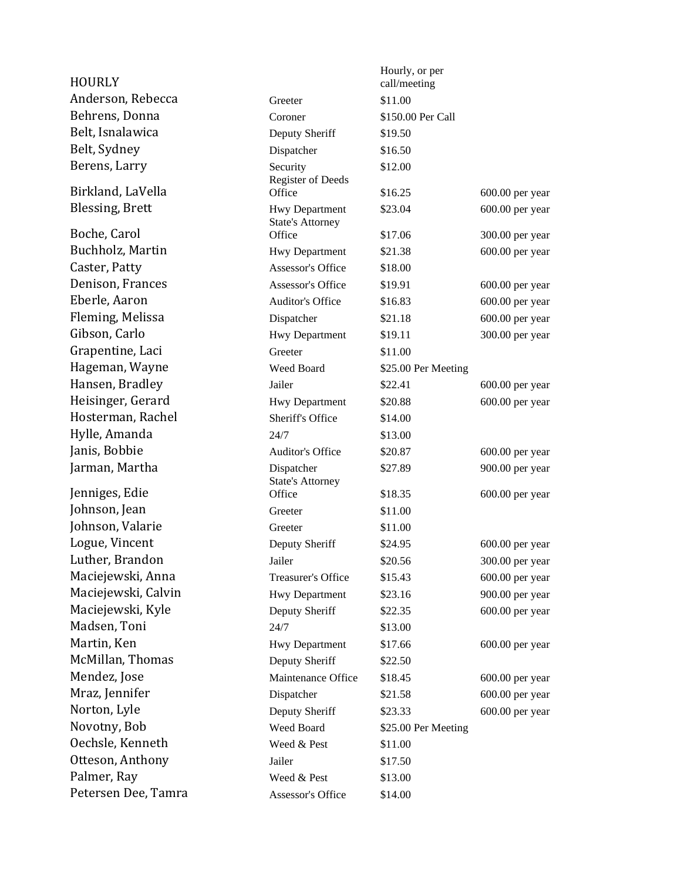| <b>HOURLY</b>                            |                                      | Hourly, or per<br>call/meeting |                   |
|------------------------------------------|--------------------------------------|--------------------------------|-------------------|
| Anderson, Rebecca                        | Greeter                              | \$11.00                        |                   |
| Behrens, Donna                           | Coroner                              | \$150.00 Per Call              |                   |
| Belt, Isnalawica                         | Deputy Sheriff                       | \$19.50                        |                   |
| Belt, Sydney                             | Dispatcher                           | \$16.50                        |                   |
| Berens, Larry                            | Security                             | \$12.00                        |                   |
|                                          | Register of Deeds                    |                                |                   |
| Birkland, LaVella                        | Office                               | \$16.25                        | $600.00$ per year |
| <b>Blessing, Brett</b>                   | <b>Hwy Department</b>                | \$23.04                        | 600.00 per year   |
| Boche, Carol                             | <b>State's Attorney</b><br>Office    | \$17.06                        | 300.00 per year   |
| Buchholz, Martin                         | Hwy Department                       | \$21.38                        | 600.00 per year   |
| Caster, Patty                            | Assessor's Office                    | \$18.00                        |                   |
| Denison, Frances                         | Assessor's Office                    | \$19.91                        | $600.00$ per year |
| Eberle, Aaron                            | <b>Auditor's Office</b>              | \$16.83                        | $600.00$ per year |
| Fleming, Melissa                         | Dispatcher                           | \$21.18                        | 600.00 per year   |
| Gibson, Carlo                            | <b>Hwy Department</b>                | \$19.11                        | 300.00 per year   |
| Grapentine, Laci                         | Greeter                              | \$11.00                        |                   |
| Hageman, Wayne                           | Weed Board                           | \$25.00 Per Meeting            |                   |
| Hansen, Bradley                          | Jailer                               | \$22.41                        | $600.00$ per year |
| Heisinger, Gerard                        | <b>Hwy Department</b>                | \$20.88                        | 600.00 per year   |
| Hosterman, Rachel                        | Sheriff's Office                     | \$14.00                        |                   |
| Hylle, Amanda                            | 24/7                                 | \$13.00                        |                   |
| Janis, Bobbie                            | <b>Auditor's Office</b>              | \$20.87                        | $600.00$ per year |
| Jarman, Martha                           | Dispatcher                           | \$27.89                        | 900.00 per year   |
|                                          | <b>State's Attorney</b>              |                                |                   |
| Jenniges, Edie                           | Office                               | \$18.35                        | 600.00 per year   |
| Johnson, Jean                            | Greeter                              | \$11.00                        |                   |
| Johnson, Valarie                         | Greeter                              | \$11.00                        |                   |
| Logue, Vincent<br>Luther, Brandon        | Deputy Sheriff                       | \$24.95                        | $600.00$ per year |
|                                          | Jailer                               | \$20.56                        | 300.00 per year   |
| Maciejewski, Anna<br>Maciejewski, Calvin | Treasurer's Office                   | \$15.43                        | 600.00 per year   |
| Maciejewski, Kyle                        | Hwy Department                       | \$23.16                        | 900.00 per year   |
| Madsen, Toni                             | Deputy Sheriff                       | \$22.35                        | 600.00 per year   |
| Martin, Ken                              | 24/7                                 | \$13.00                        |                   |
| McMillan, Thomas                         | Hwy Department                       | \$17.66<br>\$22.50             | 600.00 per year   |
| Mendez, Jose                             | Deputy Sheriff<br>Maintenance Office | \$18.45                        | 600.00 per year   |
| Mraz, Jennifer                           |                                      |                                | $600.00$ per year |
| Norton, Lyle                             | Dispatcher<br>Deputy Sheriff         | \$21.58<br>\$23.33             | $600.00$ per year |
| Novotny, Bob                             | Weed Board                           | \$25.00 Per Meeting            |                   |
| Oechsle, Kenneth                         | Weed & Pest                          | \$11.00                        |                   |
| Otteson, Anthony                         | Jailer                               | \$17.50                        |                   |
| Palmer, Ray                              | Weed & Pest                          | \$13.00                        |                   |
| Petersen Dee, Tamra                      | Assessor's Office                    |                                |                   |
|                                          |                                      | \$14.00                        |                   |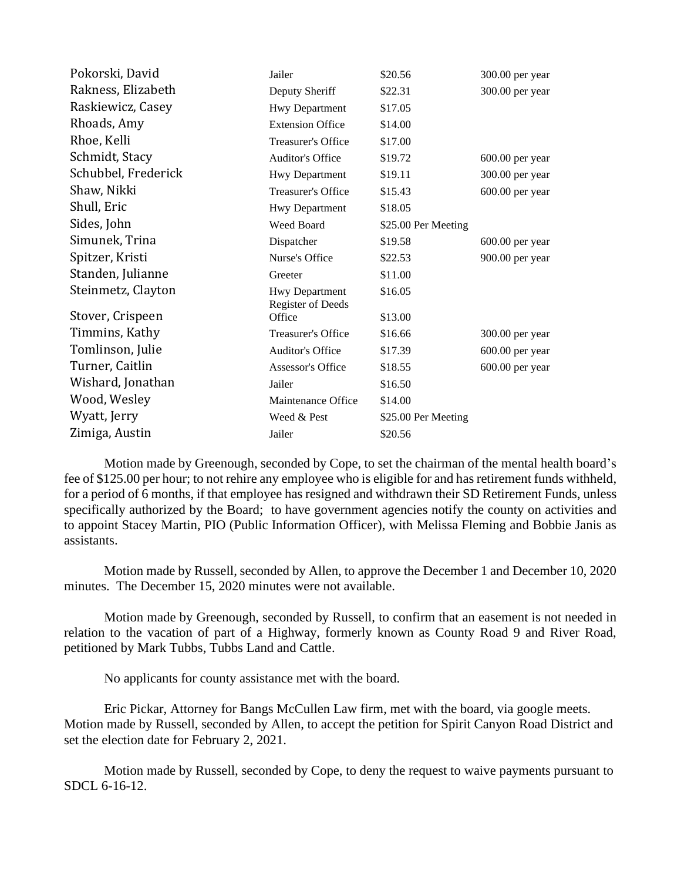| Pokorski, David     | Jailer                             | \$20.56                        | 300.00 per year   |
|---------------------|------------------------------------|--------------------------------|-------------------|
| Rakness, Elizabeth  | Deputy Sheriff                     | \$22.31                        | 300.00 per year   |
| Raskiewicz, Casey   | <b>Hwy Department</b>              | \$17.05                        |                   |
| Rhoads, Amy         | <b>Extension Office</b>            | \$14.00                        |                   |
| Rhoe, Kelli         | <b>Treasurer's Office</b>          | \$17.00                        |                   |
| Schmidt, Stacy      | <b>Auditor's Office</b>            | \$19.72                        | $600.00$ per year |
| Schubbel, Frederick | <b>Hwy Department</b>              | \$19.11                        | 300.00 per year   |
| Shaw, Nikki         | <b>Treasurer's Office</b>          | \$15.43                        | 600.00 per year   |
| Shull, Eric         | <b>Hwy Department</b>              | \$18.05                        |                   |
| Sides, John         | Weed Board                         | \$25.00 Per Meeting            |                   |
| Simunek, Trina      | Dispatcher                         | \$19.58                        | $600.00$ per year |
| Spitzer, Kristi     | Nurse's Office                     | \$22.53                        | 900.00 per year   |
| Standen, Julianne   | Greeter                            | \$11.00                        |                   |
| Steinmetz, Clayton  | <b>Hwy Department</b>              | \$16.05                        |                   |
| Stover, Crispeen    | <b>Register of Deeds</b><br>Office | \$13.00                        |                   |
| Timmins, Kathy      | Treasurer's Office                 | \$16.66                        | $300.00$ per year |
| Tomlinson, Julie    | <b>Auditor's Office</b>            | \$17.39                        | 600.00 per year   |
| Turner, Caitlin     | Assessor's Office                  | \$18.55                        | $600.00$ per year |
| Wishard, Jonathan   | Jailer                             | \$16.50                        |                   |
| Wood, Wesley        | Maintenance Office                 | \$14.00                        |                   |
| Wyatt, Jerry        | Weed & Pest                        |                                |                   |
| Zimiga, Austin      | Jailer                             | \$25.00 Per Meeting<br>\$20.56 |                   |
|                     |                                    |                                |                   |

Motion made by Greenough, seconded by Cope, to set the chairman of the mental health board's fee of \$125.00 per hour; to not rehire any employee who is eligible for and has retirement funds withheld, for a period of 6 months, if that employee has resigned and withdrawn their SD Retirement Funds, unless specifically authorized by the Board; to have government agencies notify the county on activities and to appoint Stacey Martin, PIO (Public Information Officer), with Melissa Fleming and Bobbie Janis as assistants.

Motion made by Russell, seconded by Allen, to approve the December 1 and December 10, 2020 minutes. The December 15, 2020 minutes were not available.

Motion made by Greenough, seconded by Russell, to confirm that an easement is not needed in relation to the vacation of part of a Highway, formerly known as County Road 9 and River Road, petitioned by Mark Tubbs, Tubbs Land and Cattle.

No applicants for county assistance met with the board.

Eric Pickar, Attorney for Bangs McCullen Law firm, met with the board, via google meets. Motion made by Russell, seconded by Allen, to accept the petition for Spirit Canyon Road District and set the election date for February 2, 2021.

Motion made by Russell, seconded by Cope, to deny the request to waive payments pursuant to SDCL 6-16-12.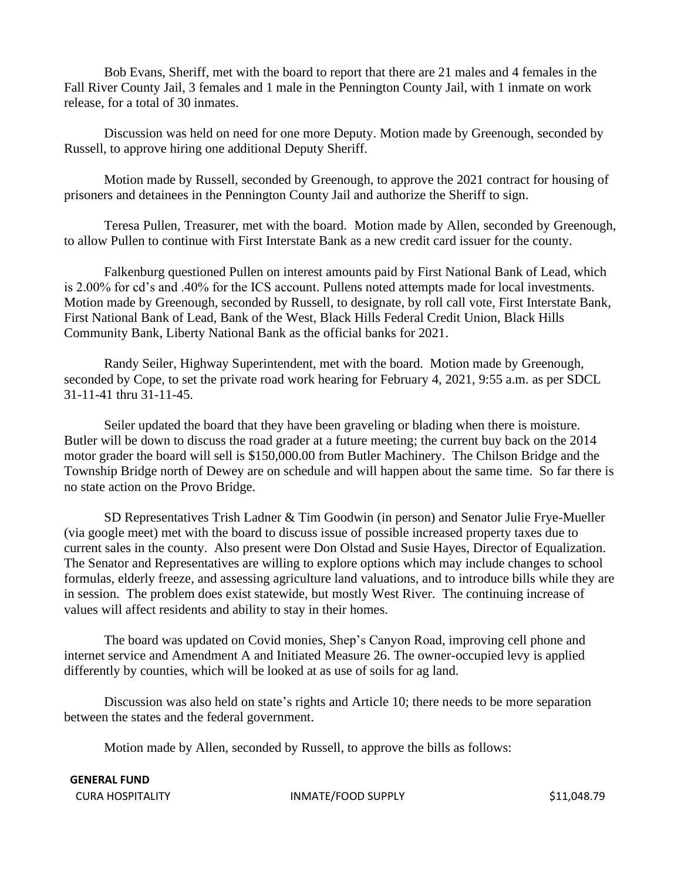Bob Evans, Sheriff, met with the board to report that there are 21 males and 4 females in the Fall River County Jail, 3 females and 1 male in the Pennington County Jail, with 1 inmate on work release, for a total of 30 inmates.

Discussion was held on need for one more Deputy. Motion made by Greenough, seconded by Russell, to approve hiring one additional Deputy Sheriff.

Motion made by Russell, seconded by Greenough, to approve the 2021 contract for housing of prisoners and detainees in the Pennington County Jail and authorize the Sheriff to sign.

Teresa Pullen, Treasurer, met with the board. Motion made by Allen, seconded by Greenough, to allow Pullen to continue with First Interstate Bank as a new credit card issuer for the county.

Falkenburg questioned Pullen on interest amounts paid by First National Bank of Lead, which is 2.00% for cd's and .40% for the ICS account. Pullens noted attempts made for local investments. Motion made by Greenough, seconded by Russell, to designate, by roll call vote, First Interstate Bank, First National Bank of Lead, Bank of the West, Black Hills Federal Credit Union, Black Hills Community Bank, Liberty National Bank as the official banks for 2021.

Randy Seiler, Highway Superintendent, met with the board. Motion made by Greenough, seconded by Cope, to set the private road work hearing for February 4, 2021, 9:55 a.m. as per SDCL 31-11-41 thru 31-11-45.

Seiler updated the board that they have been graveling or blading when there is moisture. Butler will be down to discuss the road grader at a future meeting; the current buy back on the 2014 motor grader the board will sell is \$150,000.00 from Butler Machinery. The Chilson Bridge and the Township Bridge north of Dewey are on schedule and will happen about the same time. So far there is no state action on the Provo Bridge.

SD Representatives Trish Ladner & Tim Goodwin (in person) and Senator Julie Frye-Mueller (via google meet) met with the board to discuss issue of possible increased property taxes due to current sales in the county. Also present were Don Olstad and Susie Hayes, Director of Equalization. The Senator and Representatives are willing to explore options which may include changes to school formulas, elderly freeze, and assessing agriculture land valuations, and to introduce bills while they are in session. The problem does exist statewide, but mostly West River. The continuing increase of values will affect residents and ability to stay in their homes.

The board was updated on Covid monies, Shep's Canyon Road, improving cell phone and internet service and Amendment A and Initiated Measure 26. The owner-occupied levy is applied differently by counties, which will be looked at as use of soils for ag land.

Discussion was also held on state's rights and Article 10; there needs to be more separation between the states and the federal government.

Motion made by Allen, seconded by Russell, to approve the bills as follows:

**GENERAL FUND**

CURA HOSPITALITY **INMATE/FOOD SUPPLY** \$11,048.79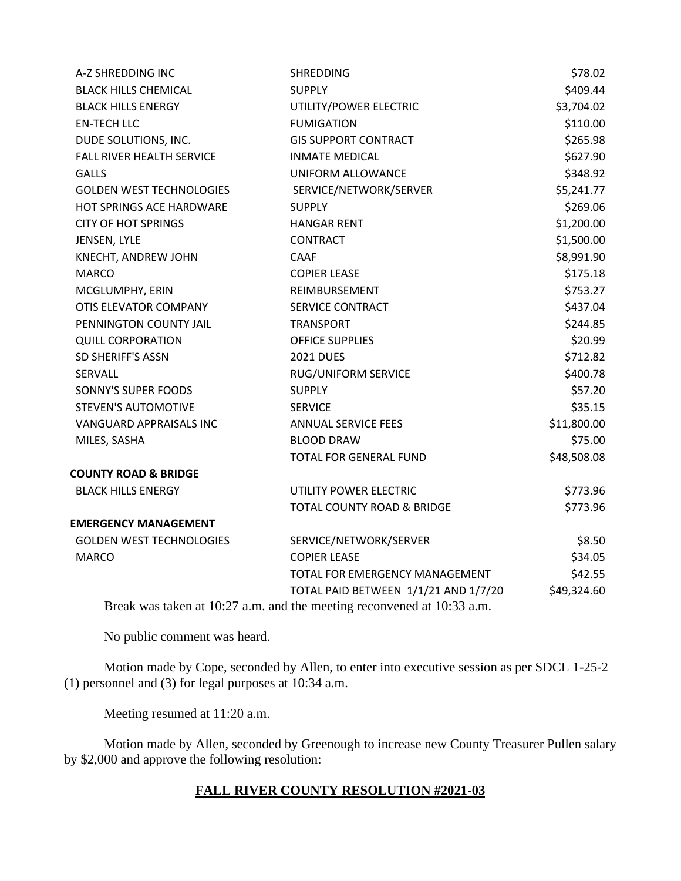| A-Z SHREDDING INC               | <b>SHREDDING</b>                                                                   | \$78.02     |
|---------------------------------|------------------------------------------------------------------------------------|-------------|
| <b>BLACK HILLS CHEMICAL</b>     | <b>SUPPLY</b>                                                                      | \$409.44    |
| <b>BLACK HILLS ENERGY</b>       | UTILITY/POWER ELECTRIC                                                             | \$3,704.02  |
| <b>EN-TECH LLC</b>              | <b>FUMIGATION</b>                                                                  | \$110.00    |
| DUDE SOLUTIONS, INC.            | <b>GIS SUPPORT CONTRACT</b>                                                        | \$265.98    |
| FALL RIVER HEALTH SERVICE       | <b>INMATE MEDICAL</b>                                                              | \$627.90    |
| <b>GALLS</b>                    | UNIFORM ALLOWANCE                                                                  | \$348.92    |
| <b>GOLDEN WEST TECHNOLOGIES</b> | SERVICE/NETWORK/SERVER                                                             | \$5,241.77  |
| HOT SPRINGS ACE HARDWARE        | <b>SUPPLY</b>                                                                      | \$269.06    |
| <b>CITY OF HOT SPRINGS</b>      | <b>HANGAR RENT</b>                                                                 | \$1,200.00  |
| JENSEN, LYLE                    | <b>CONTRACT</b>                                                                    | \$1,500.00  |
| KNECHT, ANDREW JOHN             | <b>CAAF</b>                                                                        | \$8,991.90  |
| <b>MARCO</b>                    | <b>COPIER LEASE</b>                                                                | \$175.18    |
| MCGLUMPHY, ERIN                 | REIMBURSEMENT                                                                      | \$753.27    |
| OTIS ELEVATOR COMPANY           | SERVICE CONTRACT                                                                   | \$437.04    |
| PENNINGTON COUNTY JAIL          | <b>TRANSPORT</b>                                                                   | \$244.85    |
| <b>QUILL CORPORATION</b>        | <b>OFFICE SUPPLIES</b>                                                             | \$20.99     |
| SD SHERIFF'S ASSN               | <b>2021 DUES</b>                                                                   | \$712.82    |
| SERVALL                         | RUG/UNIFORM SERVICE                                                                | \$400.78    |
| SONNY'S SUPER FOODS             | <b>SUPPLY</b>                                                                      | \$57.20     |
| <b>STEVEN'S AUTOMOTIVE</b>      | <b>SERVICE</b>                                                                     | \$35.15     |
| VANGUARD APPRAISALS INC         | <b>ANNUAL SERVICE FEES</b>                                                         | \$11,800.00 |
| MILES, SASHA                    | <b>BLOOD DRAW</b>                                                                  | \$75.00     |
|                                 | TOTAL FOR GENERAL FUND                                                             | \$48,508.08 |
| <b>COUNTY ROAD &amp; BRIDGE</b> |                                                                                    |             |
| <b>BLACK HILLS ENERGY</b>       | UTILITY POWER ELECTRIC                                                             | \$773.96    |
|                                 | TOTAL COUNTY ROAD & BRIDGE                                                         | \$773.96    |
| <b>EMERGENCY MANAGEMENT</b>     |                                                                                    |             |
| <b>GOLDEN WEST TECHNOLOGIES</b> | SERVICE/NETWORK/SERVER                                                             | \$8.50      |
| <b>MARCO</b>                    | <b>COPIER LEASE</b>                                                                | \$34.05     |
|                                 | TOTAL FOR EMERGENCY MANAGEMENT                                                     | \$42.55     |
|                                 | TOTAL PAID BETWEEN 1/1/21 AND 1/7/20                                               | \$49,324.60 |
|                                 | <b>Drook</b> was taken at $10.27$ a.m. and the meeting reconversed at $10.22$ a.m. |             |

Break was taken at 10:27 a.m. and the meeting reconvened at 10:33 a.m.

No public comment was heard.

Motion made by Cope, seconded by Allen, to enter into executive session as per SDCL 1-25-2 (1) personnel and (3) for legal purposes at 10:34 a.m.

Meeting resumed at 11:20 a.m.

Motion made by Allen, seconded by Greenough to increase new County Treasurer Pullen salary by \$2,000 and approve the following resolution:

# **FALL RIVER COUNTY RESOLUTION #2021-03**